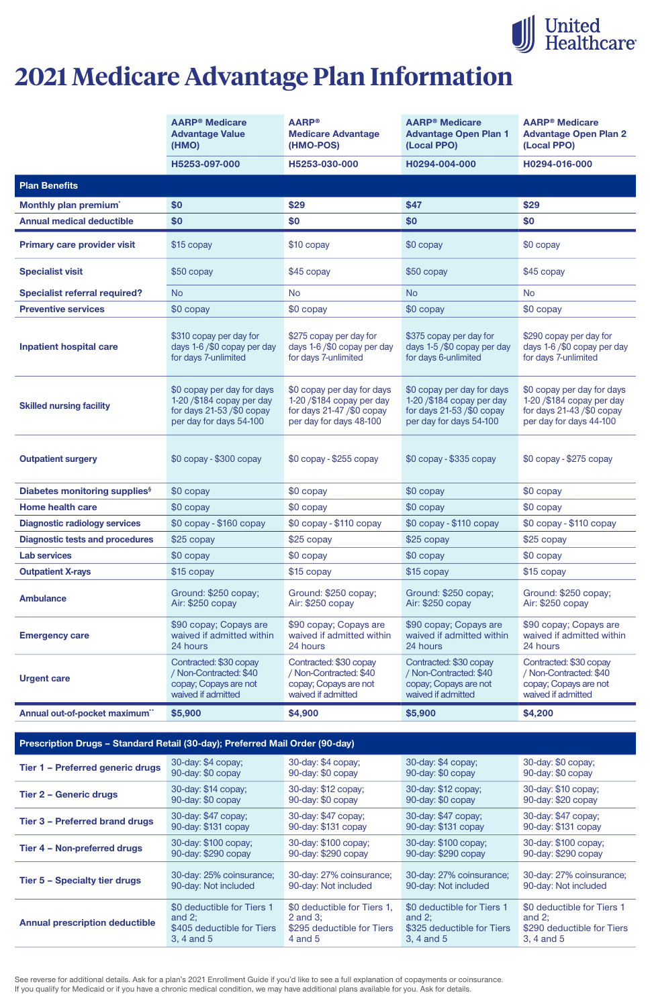See reverse for additional details. Ask for a plan's 2021 Enrollment Guide if you'd like to see a full explanation of copayments or coinsurance. If you qualify for Medicaid or if you have a chronic medical condition, we may have additional plans available for you. Ask for details.

|                                           | <b>AARP<sup>®</sup></b> Medicare<br><b>Advantage Value</b><br>(HMO)                                                | <b>AARP®</b><br><b>Medicare Advantage</b><br>(HMO-POS)                                                             | <b>AARP<sup>®</sup> Medicare</b><br><b>Advantage Open Plan 1</b><br>(Local PPO)                                   | <b>AARP<sup>®</sup></b> Medicare<br><b>Advantage Open Plan 2</b><br>(Local PPO)                                   |  |  |
|-------------------------------------------|--------------------------------------------------------------------------------------------------------------------|--------------------------------------------------------------------------------------------------------------------|-------------------------------------------------------------------------------------------------------------------|-------------------------------------------------------------------------------------------------------------------|--|--|
|                                           | H5253-097-000                                                                                                      | H5253-030-000                                                                                                      | H0294-004-000                                                                                                     | H0294-016-000                                                                                                     |  |  |
| <b>Plan Benefits</b>                      |                                                                                                                    |                                                                                                                    |                                                                                                                   |                                                                                                                   |  |  |
| Monthly plan premium <sup>*</sup>         | \$0                                                                                                                | \$29                                                                                                               | \$47                                                                                                              | \$29                                                                                                              |  |  |
| <b>Annual medical deductible</b>          | \$0                                                                                                                | \$0                                                                                                                | \$0                                                                                                               | \$0                                                                                                               |  |  |
| <b>Primary care provider visit</b>        | \$15 copay                                                                                                         | \$10 copay                                                                                                         | \$0 copay                                                                                                         | \$0 copay                                                                                                         |  |  |
| <b>Specialist visit</b>                   | \$50 copay                                                                                                         | \$45 copay                                                                                                         | \$50 copay                                                                                                        | \$45 copay                                                                                                        |  |  |
| <b>Specialist referral required?</b>      | <b>No</b>                                                                                                          | <b>No</b>                                                                                                          | <b>No</b>                                                                                                         | <b>No</b>                                                                                                         |  |  |
| <b>Preventive services</b>                | \$0 copay                                                                                                          | $$0$ copay                                                                                                         | \$0 copay                                                                                                         | \$0 copay                                                                                                         |  |  |
| <b>Inpatient hospital care</b>            | \$310 copay per day for<br>days 1-6/\$0 copay per day<br>for days 7-unlimited                                      | \$275 copay per day for<br>days 1-6/\$0 copay per day<br>for days 7-unlimited                                      | \$375 copay per day for<br>days 1-5/\$0 copay per day<br>for days 6-unlimited                                     | \$290 copay per day for<br>days 1-6/\$0 copay per day<br>for days 7-unlimited                                     |  |  |
| <b>Skilled nursing facility</b>           | \$0 copay per day for days<br>1-20 / \$184 copay per day<br>for days $21-53$ /\$0 copay<br>per day for days 54-100 | \$0 copay per day for days<br>1-20 / \$184 copay per day<br>for days $21-47$ /\$0 copay<br>per day for days 48-100 | \$0 copay per day for days<br>1-20 /\$184 copay per day<br>for days $21-53$ /\$0 copay<br>per day for days 54-100 | \$0 copay per day for days<br>1-20 /\$184 copay per day<br>for days $21-43$ /\$0 copay<br>per day for days 44-100 |  |  |
| <b>Outpatient surgery</b>                 | \$0 copay - \$300 copay                                                                                            | \$0 copay - \$255 copay                                                                                            | $$0$ copay - $$335$ copay                                                                                         | \$0 copay - \$275 copay                                                                                           |  |  |
| Diabetes monitoring supplies <sup>§</sup> | \$0 copay                                                                                                          | \$0 copay                                                                                                          | \$0 copay                                                                                                         | \$0 copay                                                                                                         |  |  |
| <b>Home health care</b>                   | \$0 copay                                                                                                          | \$0 copay                                                                                                          | \$0 copay                                                                                                         | \$0 copay                                                                                                         |  |  |
| <b>Diagnostic radiology services</b>      | \$0 copay - \$160 copay                                                                                            | \$0 copay - \$110 copay                                                                                            | $$0$ copay - $$110$ copay                                                                                         | \$0 copay - \$110 copay                                                                                           |  |  |
| <b>Diagnostic tests and procedures</b>    | \$25 copay                                                                                                         | $$25$ copay                                                                                                        | \$25 copay                                                                                                        | $$25$ copay                                                                                                       |  |  |
| <b>Lab services</b>                       | \$0 copay                                                                                                          | \$0 copay                                                                                                          | \$0 copay                                                                                                         | \$0 copay                                                                                                         |  |  |
| <b>Outpatient X-rays</b>                  | \$15 copay                                                                                                         | \$15 copay                                                                                                         | \$15 copay                                                                                                        | \$15 copay                                                                                                        |  |  |
| <b>Ambulance</b>                          | Ground: \$250 copay;<br>Air: \$250 copay                                                                           | Ground: \$250 copay;<br>Air: \$250 copay                                                                           | Ground: \$250 copay;<br>Air: \$250 copay                                                                          | Ground: \$250 copay;<br>Air: \$250 copay                                                                          |  |  |
| <b>Emergency care</b>                     | \$90 copay; Copays are<br>waived if admitted within<br>24 hours                                                    | \$90 copay; Copays are<br>waived if admitted within<br>24 hours                                                    | \$90 copay; Copays are<br>waived if admitted within<br>24 hours                                                   | \$90 copay; Copays are<br>waived if admitted within<br>24 hours                                                   |  |  |
| <b>Urgent care</b>                        | Contracted: \$30 copay<br>/ Non-Contracted: \$40<br>copay; Copays are not<br>waived if admitted                    | Contracted: \$30 copay<br>/ Non-Contracted: \$40<br>copay; Copays are not<br>waived if admitted                    | Contracted: \$30 copay<br>/ Non-Contracted: \$40<br>copay; Copays are not<br>waived if admitted                   | Contracted: \$30 copay<br>/ Non-Contracted: \$40<br>copay; Copays are not<br>waived if admitted                   |  |  |
| Annual out-of-pocket maximum**            | \$5,900                                                                                                            | \$4,900                                                                                                            | \$5,900                                                                                                           | \$4,200                                                                                                           |  |  |

#### **Prescription Drugs – Standard Retail (30-day); Preferred Mail Order (90-day)**

| Tier 1 - Preferred generic drugs      | 30-day: \$4 copay;         | 30-day: \$4 copay;          | 30-day: \$4 copay;         | 30-day: \$0 copay;         |
|---------------------------------------|----------------------------|-----------------------------|----------------------------|----------------------------|
|                                       | 90-day: \$0 copay          | 90-day: \$0 copay           | 90-day: \$0 copay          | 90-day: \$0 copay          |
| <b>Tier 2 - Generic drugs</b>         | 30-day: \$14 copay;        | 30-day: \$12 copay;         | 30-day: \$12 copay;        | 30-day: \$10 copay;        |
|                                       | 90-day: \$0 copay          | 90-day: \$0 copay           | 90-day: \$0 copay          | 90-day: \$20 copay         |
| <b>Tier 3 - Preferred brand drugs</b> | 30-day: \$47 copay;        | 30-day: \$47 copay;         | 30-day: \$47 copay;        | 30-day: \$47 copay;        |
|                                       | 90-day: \$131 copay        | 90-day: \$131 copay         | 90-day: \$131 copay        | 90-day: \$131 copay        |
| Tier 4 - Non-preferred drugs          | 30-day: \$100 copay;       | 30-day: \$100 copay;        | 30-day: \$100 copay;       | 30-day: \$100 copay;       |
|                                       | 90-day: \$290 copay        | 90-day: \$290 copay         | 90-day: \$290 copay        | 90-day: \$290 copay        |
| Tier 5 - Specialty tier drugs         | 30-day: 25% coinsurance;   | 30-day: 27% coinsurance;    | 30-day: 27% coinsurance;   | 30-day: 27% coinsurance;   |
|                                       | 90-day: Not included       | 90-day: Not included        | 90-day: Not included       | 90-day: Not included       |
| <b>Annual prescription deductible</b> | \$0 deductible for Tiers 1 | \$0 deductible for Tiers 1, | \$0 deductible for Tiers 1 | \$0 deductible for Tiers 1 |
|                                       | and $2$ ;                  | 2 and $3$ ;                 | and $2$ ;                  | and $2$ ;                  |
|                                       | \$405 deductible for Tiers | \$295 deductible for Tiers  | \$325 deductible for Tiers | \$290 deductible for Tiers |
|                                       | 3, 4 and 5                 | $4$ and $5$                 | 3, 4 and 5                 | 3, 4 and 5                 |



# **2021 Medicare Advantage Plan Information**